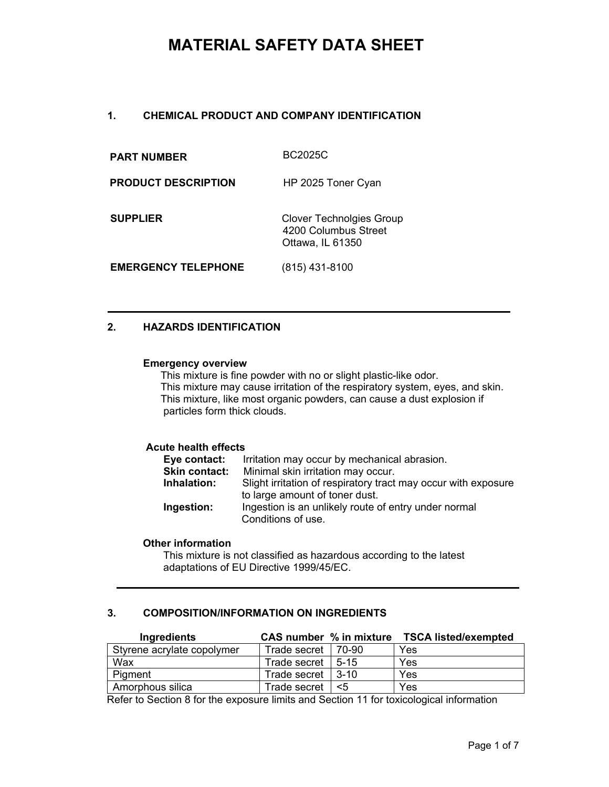# **1. CHEMICAL PRODUCT AND COMPANY IDENTIFICATION**

| <b>PART NUMBER</b>         | BC2025C                                                                     |
|----------------------------|-----------------------------------------------------------------------------|
| <b>PRODUCT DESCRIPTION</b> | HP 2025 Toner Cyan                                                          |
| <b>SUPPLIER</b>            | <b>Clover Technolgies Group</b><br>4200 Columbus Street<br>Ottawa, IL 61350 |
| <b>EMERGENCY TELEPHONE</b> | (815) 431-8100                                                              |

# **2. HAZARDS IDENTIFICATION**

#### **Emergency overview**

This mixture is fine powder with no or slight plastic-like odor. This mixture may cause irritation of the respiratory system, eyes, and skin. This mixture, like most organic powders, can cause a dust explosion if particles form thick clouds.

# **Acute health effects**

| Eye contact:  | Irritation may occur by mechanical abrasion.                                                     |
|---------------|--------------------------------------------------------------------------------------------------|
| Skin contact: | Minimal skin irritation may occur.                                                               |
| Inhalation:   | Slight irritation of respiratory tract may occur with exposure<br>to large amount of toner dust. |
| Ingestion:    | Ingestion is an unlikely route of entry under normal<br>Conditions of use.                       |

#### **Other information**

This mixture is not classified as hazardous according to the latest adaptations of EU Directive 1999/45/EC.

# **3. COMPOSITION/INFORMATION ON INGREDIENTS**

| Ingredients                | CAS number % in mixture |        | <b>TSCA listed/exempted</b> |
|----------------------------|-------------------------|--------|-----------------------------|
| Styrene acrylate copolymer | Trade secret            | 70-90  | Yes                         |
| Wax                        | Trade secret            | $5-15$ | Yes                         |
| Pigment                    | Trade secret            | $3-10$ | Yes                         |
| Amorphous silica           | Trade secret            | <5     | Yes                         |

Refer to Section 8 for the exposure limits and Section 11 for toxicological information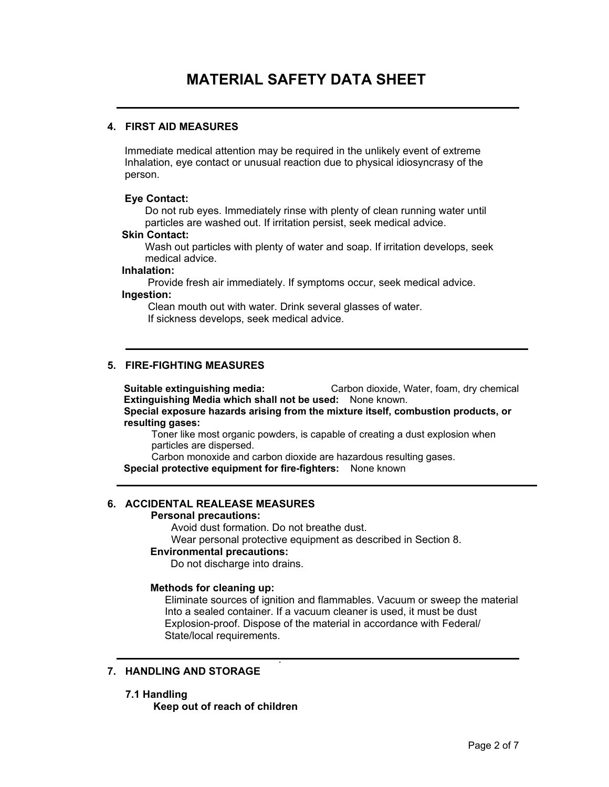# **4. FIRST AID MEASURES**

 Immediate medical attention may be required in the unlikely event of extreme Inhalation, eye contact or unusual reaction due to physical idiosyncrasy of the person.

### **Eye Contact:**

 Do not rub eyes. Immediately rinse with plenty of clean running water until particles are washed out. If irritation persist, seek medical advice.

#### **Skin Contact:**

 Wash out particles with plenty of water and soap. If irritation develops, seek medical advice.

#### **Inhalation:**

 Provide fresh air immediately. If symptoms occur, seek medical advice. **Ingestion:** 

 Clean mouth out with water. Drink several glasses of water. If sickness develops, seek medical advice.

# **5. FIRE-FIGHTING MEASURES**

 **Suitable extinguishing media:** Carbon dioxide, Water, foam, dry chemical **Extinguishing Media which shall not be used:** None known. **Special exposure hazards arising from the mixture itself, combustion products, or** 

 **resulting gases:** 

 Toner like most organic powders, is capable of creating a dust explosion when particles are dispersed.

Carbon monoxide and carbon dioxide are hazardous resulting gases.

**Special protective equipment for fire-fighters:** None known

# **6. ACCIDENTAL REALEASE MEASURES**

# **Personal precautions:**

Avoid dust formation. Do not breathe dust.

.

Wear personal protective equipment as described in Section 8.

# **Environmental precautions:**

Do not discharge into drains.

# **Methods for cleaning up:**

 Eliminate sources of ignition and flammables. Vacuum or sweep the material Into a sealed container. If a vacuum cleaner is used, it must be dust Explosion-proof. Dispose of the material in accordance with Federal/ State/local requirements.

# **7. HANDLING AND STORAGE**

# **7.1 Handling**

 **Keep out of reach of children**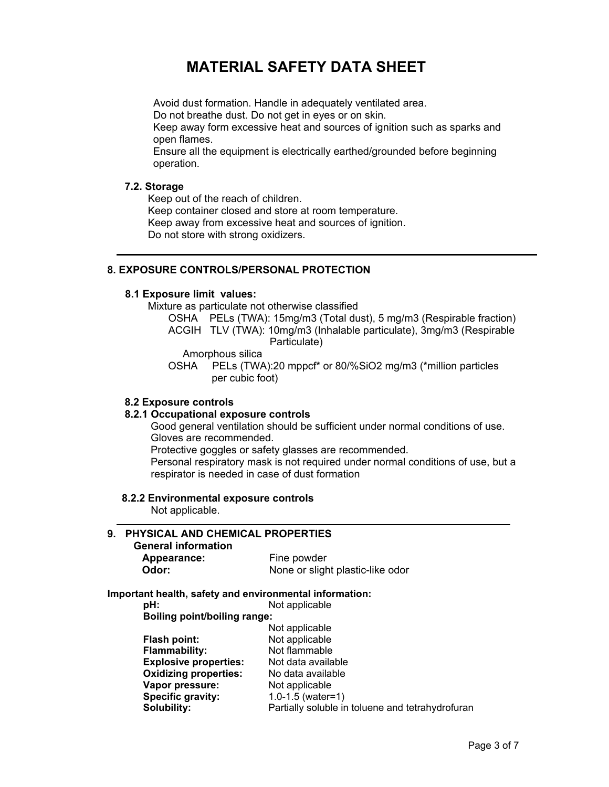Avoid dust formation. Handle in adequately ventilated area. Do not breathe dust. Do not get in eyes or on skin. Keep away form excessive heat and sources of ignition such as sparks and open flames.

 Ensure all the equipment is electrically earthed/grounded before beginning operation.

### **7.2. Storage**

Keep out of the reach of children.

 Keep container closed and store at room temperature. Keep away from excessive heat and sources of ignition. Do not store with strong oxidizers.

### **8. EXPOSURE CONTROLS/PERSONAL PROTECTION**

#### **8.1 Exposure limit values:**

Mixture as particulate not otherwise classified

 OSHA PELs (TWA): 15mg/m3 (Total dust), 5 mg/m3 (Respirable fraction) ACGIH TLV (TWA): 10mg/m3 (Inhalable particulate), 3mg/m3 (Respirable Particulate)

Amorphous silica

OSHA PELs (TWA):20 mppcf\* or 80/%SiO2 mg/m3 (\*million particles per cubic foot)

#### **8.2 Exposure controls**

#### **8.2.1 Occupational exposure controls**

 Good general ventilation should be sufficient under normal conditions of use. Gloves are recommended.

Protective goggles or safety glasses are recommended.

 Personal respiratory mask is not required under normal conditions of use, but a respirator is needed in case of dust formation

#### **8.2.2 Environmental exposure controls**

Not applicable.

# **9. PHYSICAL AND CHEMICAL PROPERTIES**

# **General information Appearance:**<br>Odor:

| Appearance: | Fine powder                      |
|-------------|----------------------------------|
| Odor:       | None or slight plastic-like odor |

#### **Important health, safety and environmental information:**

**pH:** Not applicable<br>**Boiling point/boiling range:** 

| <b>Boiling point/boiling range:</b> |  |
|-------------------------------------|--|
|                                     |  |

| Not applicable                                   |
|--------------------------------------------------|
| Not applicable                                   |
| Not flammable                                    |
| Not data available                               |
| No data available                                |
| Not applicable                                   |
| $1.0 - 1.5$ (water=1)                            |
| Partially soluble in toluene and tetrahydrofuran |
|                                                  |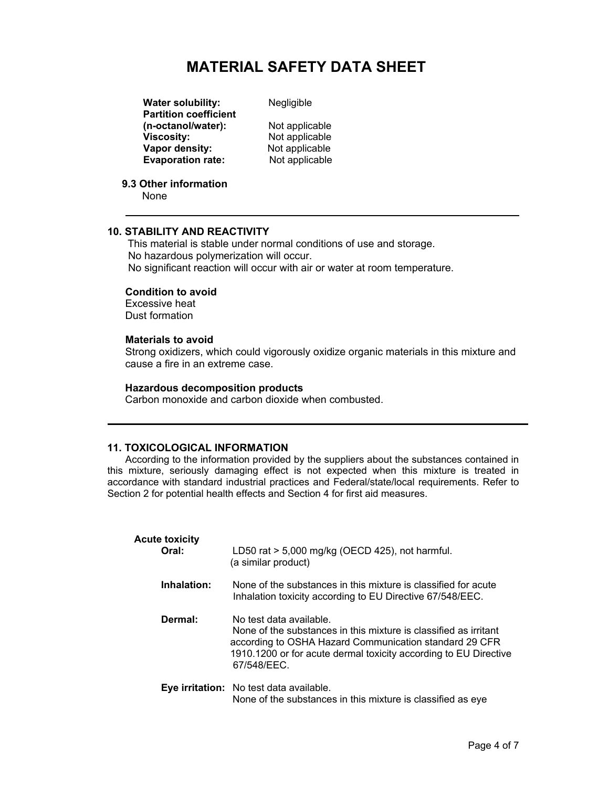**Water solubility:** Negligible  **Partition coefficient (n-octanol/water):** Not applicable<br> **Viscosity:** Not applicable **Vapor density:**<br> **Evaporation rate:**<br>
Not applicable **Evaporation** rate:

**Not applicable**<br>Not applicable

 **9.3 Other information**

None

# **10. STABILITY AND REACTIVITY**

 This material is stable under normal conditions of use and storage. No hazardous polymerization will occur. No significant reaction will occur with air or water at room temperature.

#### **Condition to avoid**

Excessive heat Dust formation

#### **Materials to avoid**

Strong oxidizers, which could vigorously oxidize organic materials in this mixture and cause a fire in an extreme case.

#### **Hazardous decomposition products**

Carbon monoxide and carbon dioxide when combusted.

# **11. TOXICOLOGICAL INFORMATION**

According to the information provided by the suppliers about the substances contained in this mixture, seriously damaging effect is not expected when this mixture is treated in accordance with standard industrial practices and Federal/state/local requirements. Refer to Section 2 for potential health effects and Section 4 for first aid measures.

| <b>Acute toxicity</b><br>Oral: | LD50 rat > 5,000 mg/kg (OECD 425), not harmful.<br>(a similar product)                                                                                                                                                                   |
|--------------------------------|------------------------------------------------------------------------------------------------------------------------------------------------------------------------------------------------------------------------------------------|
| Inhalation:                    | None of the substances in this mixture is classified for acute<br>Inhalation toxicity according to EU Directive 67/548/EEC.                                                                                                              |
| Dermal:                        | No test data available.<br>None of the substances in this mixture is classified as irritant<br>according to OSHA Hazard Communication standard 29 CFR<br>1910.1200 or for acute dermal toxicity according to EU Directive<br>67/548/FFC. |
|                                | Eye irritation: No test data available.<br>None of the substances in this mixture is classified as eye                                                                                                                                   |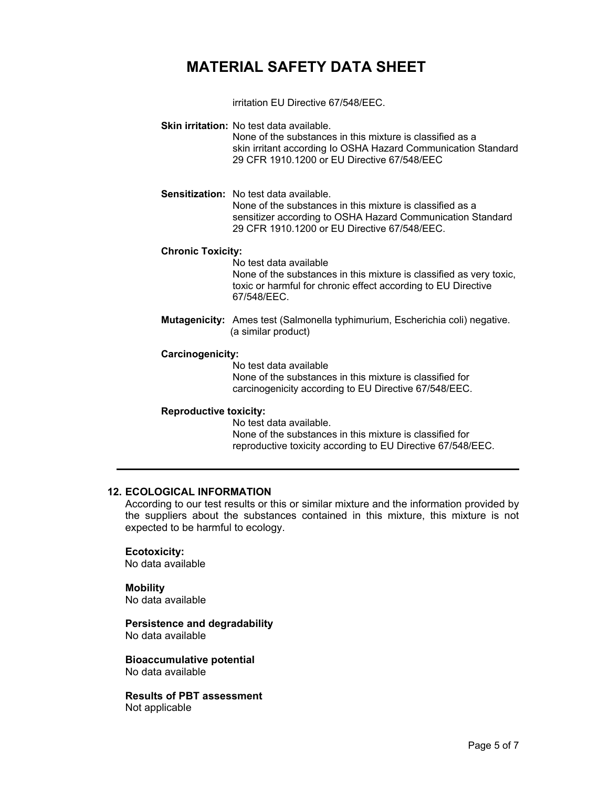irritation EU Directive 67/548/EEC.

**Skin irritation:** No test data available.

None of the substances in this mixture is classified as a skin irritant according Io OSHA Hazard Communication Standard 29 CFR 1910.1200 or EU Directive 67/548/EEC

**Sensitization:** No test data available. None of the substances in this mixture is classified as a sensitizer according to OSHA Hazard Communication Standard 29 CFR 1910.1200 or EU Directive 67/548/EEC.

#### **Chronic Toxicity:**

No test data available None of the substances in this mixture is classified as very toxic, toxic or harmful for chronic effect according to EU Directive 67/548/EEC.

**Mutagenicity:** Ames test (Salmonella typhimurium, Escherichia coli) negative. (a similar product)

#### **Carcinogenicity:**

No test data available None of the substances in this mixture is classified for carcinogenicity according to EU Directive 67/548/EEC.

#### **Reproductive toxicity:**

No test data available. None of the substances in this mixture is classified for reproductive toxicity according to EU Directive 67/548/EEC.

# **12. ECOLOGICAL INFORMATION**

According to our test results or this or similar mixture and the information provided by the suppliers about the substances contained in this mixture, this mixture is not expected to be harmful to ecology.

### **Ecotoxicity:**

No data available

# **Mobility**

No data available

#### **Persistence and degradability** No data available

**Bioaccumulative potential**  No data available

**Results of PBT assessment**  Not applicable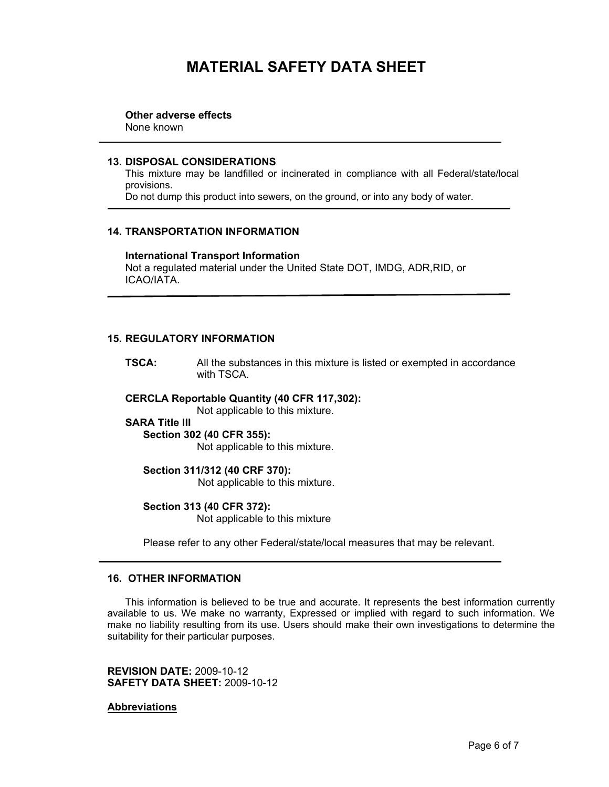**Other adverse effects**

None known

### **13. DISPOSAL CONSIDERATIONS**

This mixture may be landfilled or incinerated in compliance with all Federal/state/local provisions.

Do not dump this product into sewers, on the ground, or into any body of water.

# **14. TRANSPORTATION INFORMATION**

**International Transport Information**  Not a regulated material under the United State DOT, IMDG, ADR,RID, or ICAO/IATA.

### **15. REGULATORY INFORMATION**

**TSCA:** All the substances in this mixture is listed or exempted in accordance with TSCA.

# **ERCLA Reportable Quantity (40 CFR 117,302): C**

Not applicable to this mixture.

#### **SARA Title III**

**(40 CFR 355): Section 302** Not applicable to this mixture.

#### **Section 311/312 (40 CRF 370):**

**Not applicable to this mixture.** 

# **31 (40 CFR 372): Section 3**

Not applicable to this mixture

Please refer to any other Federal/state/local measures that may be relevant.

### **16. OTHER INFORMATION**

This information is believed to be true and accurate. It represents the best information currently available to us. We make no warranty, Expressed or implied with regard to such information. We make no liability resulting from its use. Users should make their own investigations to determine the suitability for their particular purposes.

**EVISION DATE:** 2009-10-12 **R** 0-12 **SAFETY DATA SHEET:** 2009-1

### <u>Abbreviations</u>